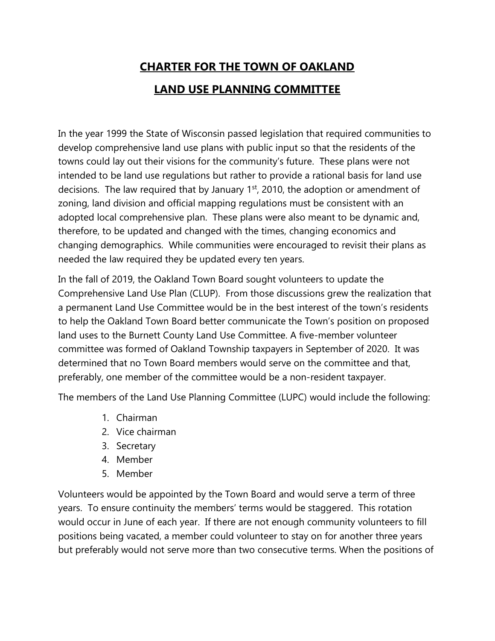## CHARTER FOR THE TOWN OF OAKLAND LAND USE PLANNING COMMITTEE

In the year 1999 the State of Wisconsin passed legislation that required communities to develop comprehensive land use plans with public input so that the residents of the towns could lay out their visions for the community's future. These plans were not intended to be land use regulations but rather to provide a rational basis for land use decisions. The law required that by January 1<sup>st</sup>, 2010, the adoption or amendment of zoning, land division and official mapping regulations must be consistent with an adopted local comprehensive plan. These plans were also meant to be dynamic and, therefore, to be updated and changed with the times, changing economics and changing demographics. While communities were encouraged to revisit their plans as needed the law required they be updated every ten years.

In the fall of 2019, the Oakland Town Board sought volunteers to update the Comprehensive Land Use Plan (CLUP). From those discussions grew the realization that a permanent Land Use Committee would be in the best interest of the town's residents to help the Oakland Town Board better communicate the Town's position on proposed land uses to the Burnett County Land Use Committee. A five-member volunteer committee was formed of Oakland Township taxpayers in September of 2020. It was determined that no Town Board members would serve on the committee and that, preferably, one member of the committee would be a non-resident taxpayer.

The members of the Land Use Planning Committee (LUPC) would include the following:

- 1. Chairman
- 2. Vice chairman
- 3. Secretary
- 4. Member
- 5. Member

Volunteers would be appointed by the Town Board and would serve a term of three years. To ensure continuity the members' terms would be staggered. This rotation would occur in June of each year. If there are not enough community volunteers to fill positions being vacated, a member could volunteer to stay on for another three years but preferably would not serve more than two consecutive terms. When the positions of